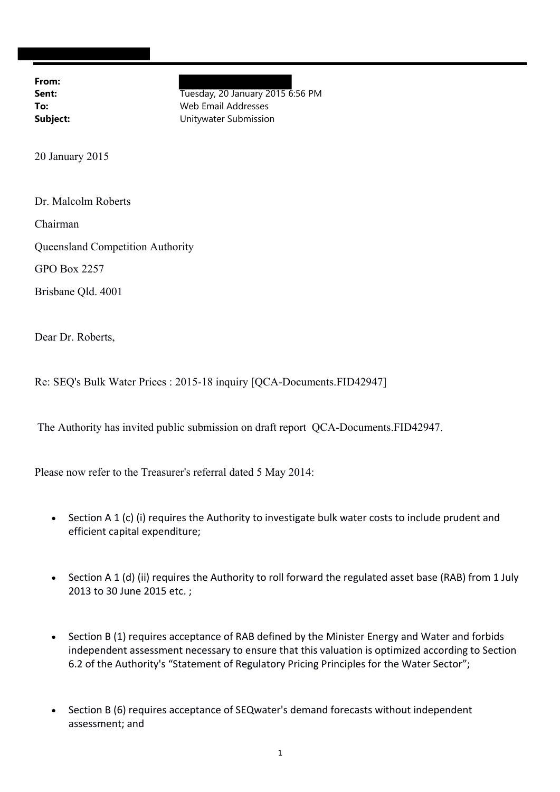**From:**

**Sent:** Tuesday, 20 January 2015 6:56 PM **To:** Web Email Addresses **Subject:** Unitywater Submission

20 January 2015

Dr. Malcolm Roberts

Chairman

Queensland Competition Authority

GPO Box 2257

Brisbane Qld. 4001

Dear Dr. Roberts,

Re: SEQ's Bulk Water Prices : 2015-18 inquiry [QCA-Documents.FID42947]

The Authority has invited public submission on draft report QCA-Documents.FID42947.

Please now refer to the Treasurer's referral dated 5 May 2014:

- Section A 1 (c) (i) requires the Authority to investigate bulk water costs to include prudent and efficient capital expenditure;
- Section A 1 (d) (ii) requires the Authority to roll forward the regulated asset base (RAB) from 1 July 2013 to 30 June 2015 etc. ;
- Section B (1) requires acceptance of RAB defined by the Minister Energy and Water and forbids independent assessment necessary to ensure that this valuation is optimized according to Section 6.2 of the Authority's "Statement of Regulatory Pricing Principles for the Water Sector";
- Section B (6) requires acceptance of SEQwater's demand forecasts without independent assessment; and